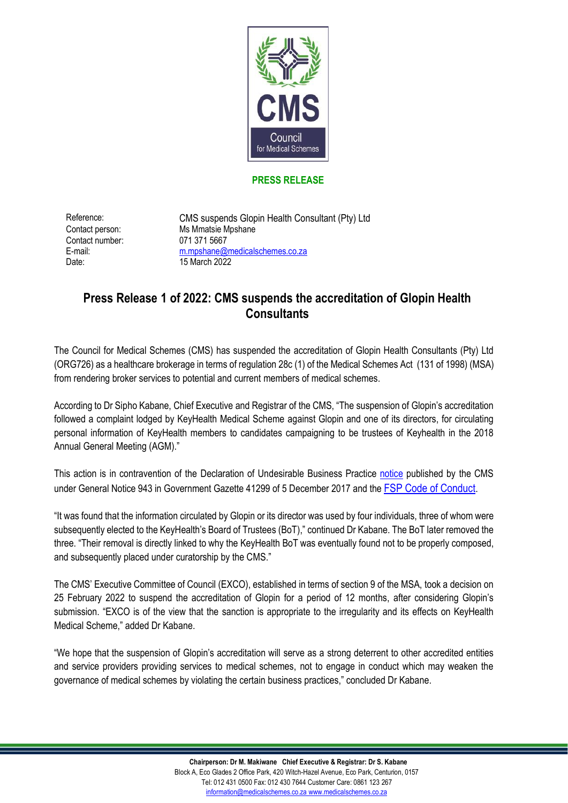

## **PRESS RELEASE**

Contact number: 071 371 5667 Date: 15 March 2022

Reference: CMS suspends Glopin Health Consultant (Pty) Ltd Contact person: Ms Mmatsie Mpshane E-mail: [m.mpshane@medicalschemes.co.za](mailto:m.mpshane@medicalschemes.co.za)

## **Press Release 1 of 2022: CMS suspends the accreditation of Glopin Health Consultants**

The Council for Medical Schemes (CMS) has suspended the accreditation of Glopin Health Consultants (Pty) Ltd (ORG726) as a healthcare brokerage in terms of regulation 28c (1) of the Medical Schemes Act (131 of 1998) (MSA) from rendering broker services to potential and current members of medical schemes.

According to Dr Sipho Kabane, Chief Executive and Registrar of the CMS, "The suspension of Glopin's accreditation followed a complaint lodged by KeyHealth Medical Scheme against Glopin and one of its directors, for circulating personal information of KeyHealth members to candidates campaigning to be trustees of Keyhealth in the 2018 Annual General Meeting (AGM)."

This action is in contravention of the Declaration of Undesirable Business Practice [notice](https://www.medicalschemes.com/files/extras/NoticeOfDeclarationOfUndesirableBusinessPracticeNo41299.pdf) published by the CMS under General Notice 943 in Government Gazette 41299 of 5 December 2017 and the [FSP Code of Conduct](https://www.gov.za/sites/default/files/gcis_document/201409/25299b.pdf).

"It was found that the information circulated by Glopin or its director was used by four individuals, three of whom were subsequently elected to the KeyHealth's Board of Trustees (BoT)," continued Dr Kabane. The BoT later removed the three. "Their removal is directly linked to why the KeyHealth BoT was eventually found not to be properly composed, and subsequently placed under curatorship by the CMS."

The CMS' Executive Committee of Council (EXCO), established in terms of section 9 of the MSA, took a decision on 25 February 2022 to suspend the accreditation of Glopin for a period of 12 months, after considering Glopin's submission. "EXCO is of the view that the sanction is appropriate to the irregularity and its effects on KeyHealth Medical Scheme," added Dr Kabane.

"We hope that the suspension of Glopin's accreditation will serve as a strong deterrent to other accredited entities and service providers providing services to medical schemes, not to engage in conduct which may weaken the governance of medical schemes by violating the certain business practices," concluded Dr Kabane.